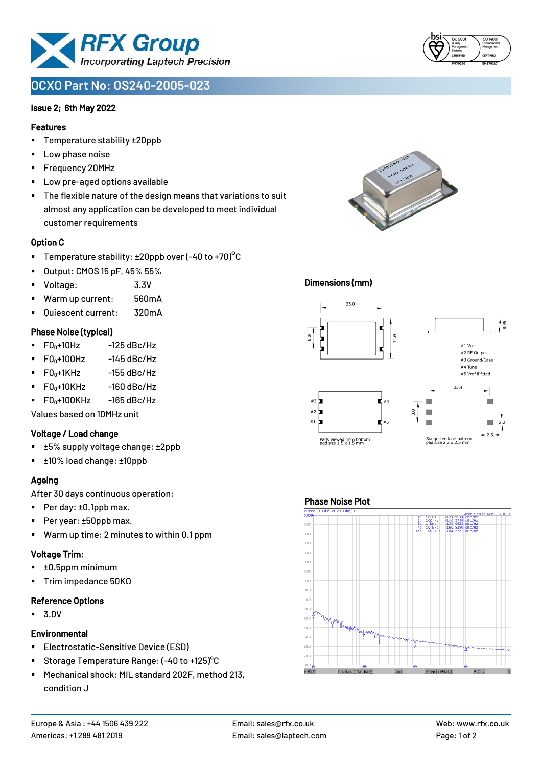

# **OCXO Part No: OS240-2005-023**

### Issue 2; 6th May 2022

### Features

- Temperature stability ±20ppb
- Low phase noise
- Frequency 20MHz
- Low pre-aged options available
- The flexible nature of the design means that variations to suit almost any application can be developed to meet individual customer requirements

### Option C

- **•** Temperature stability:  $\pm 20$ ppb over (-40 to +70)<sup>o</sup>C
- Output: CMOS 15 pF, 45% 55%
- Voltage: 3.3V
- Warm up current: 560mA
- Ouiescent current: 320mA

### Phase Noise (typical)

- $\blacksquare$  F0 $\scriptstyle\bullet$ +10Hz -125 dBc/Hz
- $F0_0+100$ Hz  $-145$  dBc/Hz
- $F0_0+1$ KHz  $-155$  dBc/Hz
- $\blacksquare$  F0 $_0$ +10KHz -160 dBc/Hz
- $\blacksquare$  F0 $\scriptstyle\bullet$ +100KHz -165 dBc/Hz

Values based on 10MHz unit

#### Voltage / Load change

- ±5% supply voltage change: ±2ppb
- ±10% load change: ±10ppb

### Ageing

After 30 days continuous operation:

- Per day: ±0.1ppb max.
- Per year: ±50ppb max.
- Warm up time: 2 minutes to within 0.1 ppm

# Voltage Trim:

- ±0.5ppm minimum
- Trim impedance 50KΩ

# Reference Options

▪ 3.0V

# **Environmental**

- **Electrostatic-Sensitive Device (ESD)**
- Storage Temperature Range: (-40 to +125)°C
- Mechanical shock: MIL standard 202F, method 213, condition J



#### Dimensions (mm)



#### Phase Noise Plot